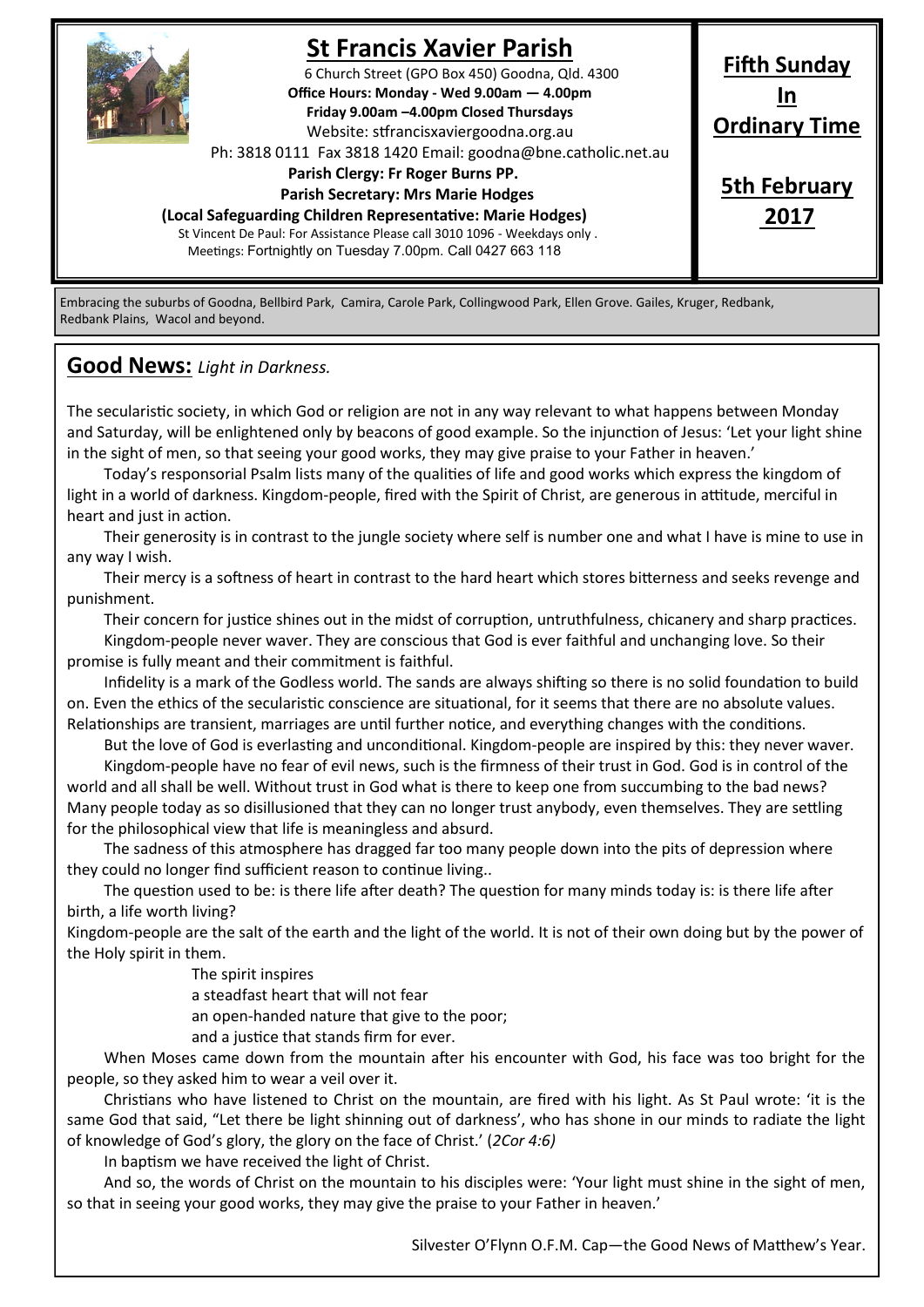

## **St Francis Xavier Parish**

6 Church Street (GPO Box 450) Goodna, Qld. 4300 **Office Hours: Monday - Wed 9.00am — 4.00pm Friday 9.00am –4.00pm Closed Thursdays**  Website: stfrancisxaviergoodna.org.au

Ph: 3818 0111 Fax 3818 1420 Email: goodna@bne.catholic.net.au

 **Parish Clergy: Fr Roger Burns PP.** 

#### **Parish Secretary: Mrs Marie Hodges**

**(Local Safeguarding Children Representative: Marie Hodges)**

St Vincent De Paul: For Assistance Please call 3010 1096 - Weekdays only . Meetings: Fortnightly on Tuesday 7.00pm. Call 0427 663 118

# **Ordinary Time 5th February 2017**

**Fifth Sunday In**

Embracing the suburbs of Goodna, Bellbird Park, Camira, Carole Park, Collingwood Park, Ellen Grove. Gailes, Kruger, Redbank, Redbank Plains, Wacol and beyond.

## **Good News:** *Light in Darkness.*

The secularistic society, in which God or religion are not in any way relevant to what happens between Monday and Saturday, will be enlightened only by beacons of good example. So the injunction of Jesus: 'Let your light shine in the sight of men, so that seeing your good works, they may give praise to your Father in heaven.'

Today's responsorial Psalm lists many of the qualities of life and good works which express the kingdom of light in a world of darkness. Kingdom-people, fired with the Spirit of Christ, are generous in attitude, merciful in heart and just in action.

Their generosity is in contrast to the jungle society where self is number one and what I have is mine to use in any way I wish.

Their mercy is a softness of heart in contrast to the hard heart which stores bitterness and seeks revenge and punishment.

Their concern for justice shines out in the midst of corruption, untruthfulness, chicanery and sharp practices. Kingdom-people never waver. They are conscious that God is ever faithful and unchanging love. So their promise is fully meant and their commitment is faithful.

Infidelity is a mark of the Godless world. The sands are always shifting so there is no solid foundation to build on. Even the ethics of the secularistic conscience are situational, for it seems that there are no absolute values. Relationships are transient, marriages are until further notice, and everything changes with the conditions.

But the love of God is everlasting and unconditional. Kingdom-people are inspired by this: they never waver.

Kingdom-people have no fear of evil news, such is the firmness of their trust in God. God is in control of the world and all shall be well. Without trust in God what is there to keep one from succumbing to the bad news? Many people today as so disillusioned that they can no longer trust anybody, even themselves. They are settling for the philosophical view that life is meaningless and absurd.

The sadness of this atmosphere has dragged far too many people down into the pits of depression where they could no longer find sufficient reason to continue living..

The question used to be: is there life after death? The question for many minds today is: is there life after birth, a life worth living?

Kingdom-people are the salt of the earth and the light of the world. It is not of their own doing but by the power of the Holy spirit in them.

The spirit inspires

a steadfast heart that will not fear

an open-handed nature that give to the poor;

and a justice that stands firm for ever.

When Moses came down from the mountain after his encounter with God, his face was too bright for the people, so they asked him to wear a veil over it.

Christians who have listened to Christ on the mountain, are fired with his light. As St Paul wrote: 'it is the same God that said, "Let there be light shinning out of darkness', who has shone in our minds to radiate the light of knowledge of God's glory, the glory on the face of Christ.' (*2Cor 4:6)*

In baptism we have received the light of Christ.

And so, the words of Christ on the mountain to his disciples were: 'Your light must shine in the sight of men, so that in seeing your good works, they may give the praise to your Father in heaven.'

Silvester O'Flynn O.F.M. Cap—the Good News of Matthew's Year.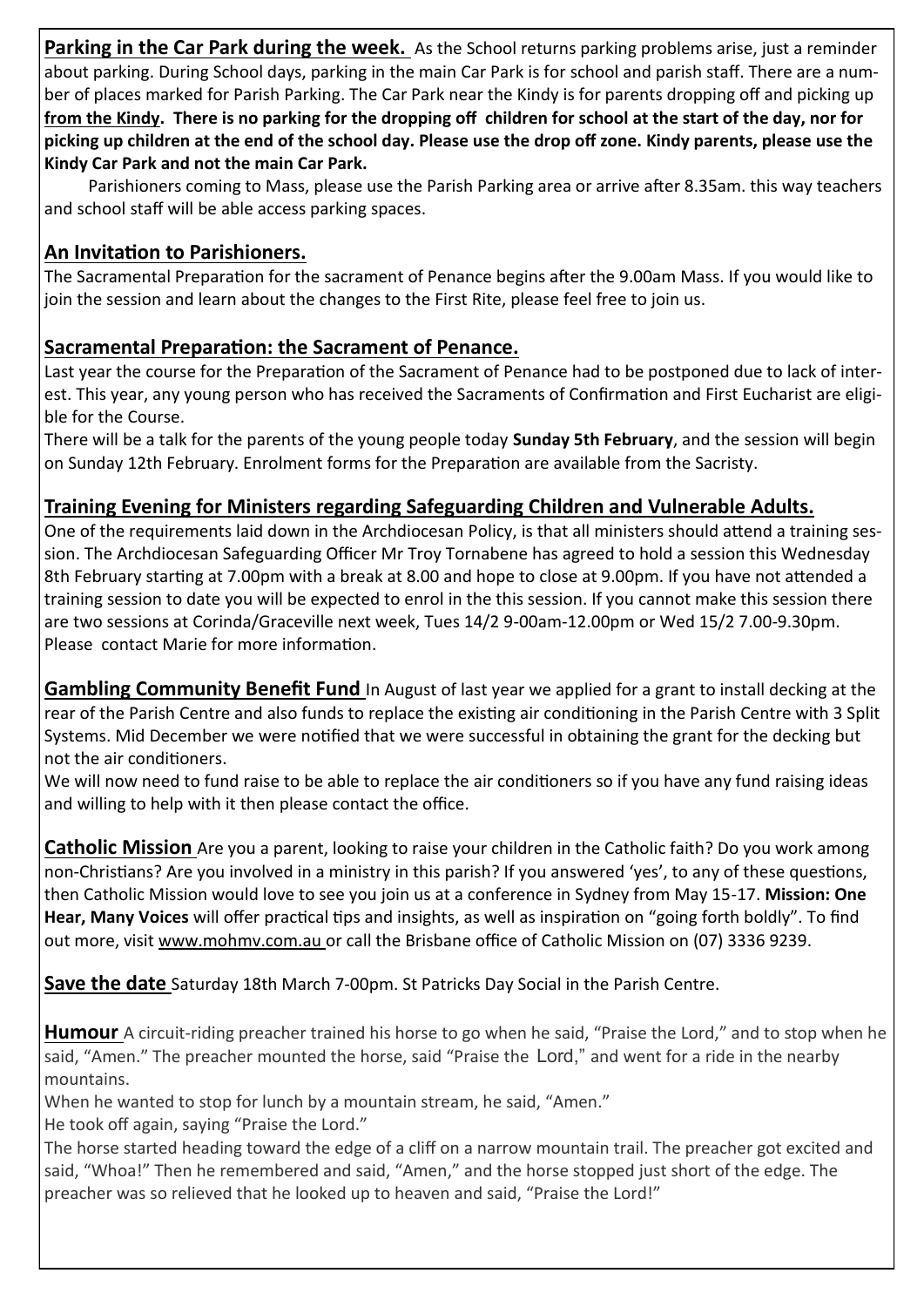**Parking in the Car Park during the week.** As the School returns parking problems arise, just a reminder about parking. During School days, parking in the main Car Park is for school and parish staff. There are a number of places marked for Parish Parking. The Car Park near the Kindy is for parents dropping off and picking up **from the Kindy. There is no parking for the dropping off children for school at the start of the day, nor for picking up children at the end of the school day. Please use the drop off zone. Kindy parents, please use the Kindy Car Park and not the main Car Park.**

Parishioners coming to Mass, please use the Parish Parking area or arrive after 8.35am. this way teachers and school staff will be able access parking spaces.

## **An Invitation to Parishioners.**

The Sacramental Preparation for the sacrament of Penance begins after the 9.00am Mass. If you would like to join the session and learn about the changes to the First Rite, please feel free to join us.

## **Sacramental Preparation: the Sacrament of Penance.**

Last year the course for the Preparation of the Sacrament of Penance had to be postponed due to lack of interest. This year, any young person who has received the Sacraments of Confirmation and First Eucharist are eligible for the Course.

There will be a talk for the parents of the young people today **Sunday 5th February**, and the session will begin on Sunday 12th February. Enrolment forms for the Preparation are available from the Sacristy.

## **Training Evening for Ministers regarding Safeguarding Children and Vulnerable Adults.**

One of the requirements laid down in the Archdiocesan Policy, is that all ministers should attend a training session. The Archdiocesan Safeguarding Officer Mr Troy Tornabene has agreed to hold a session this Wednesday 8th February starting at 7.00pm with a break at 8.00 and hope to close at 9.00pm. If you have not attended a training session to date you will be expected to enrol in the this session. If you cannot make this session there are two sessions at Corinda/Graceville next week, Tues 14/2 9-00am-12.00pm or Wed 15/2 7.00-9.30pm. Please contact Marie for more information.

**Gambling Community Benefit Fund** In August of last year we applied for a grant to install decking at the rear of the Parish Centre and also funds to replace the existing air conditioning in the Parish Centre with 3 Split Systems. Mid December we were notified that we were successful in obtaining the grant for the decking but not the air conditioners.

We will now need to fund raise to be able to replace the air conditioners so if you have any fund raising ideas and willing to help with it then please contact the office.

**Catholic Mission** Are you a parent, looking to raise your children in the Catholic faith? Do you work among non-Christians? Are you involved in a ministry in this parish? If you answered 'yes', to any of these questions, then Catholic Mission would love to see you join us at a conference in Sydney from May 15-17. **Mission: One Hear, Many Voices** will offer practical tips and insights, as well as inspiration on "going forth boldly". To find out more, visit www.mohmv.com.au or call the Brisbane office of Catholic Mission on (07) 3336 9239.

**Save the date** Saturday 18th March 7-00pm. St Patricks Day Social in the Parish Centre.

**Humour** A circuit-riding preacher trained his horse to go when he said, "Praise the Lord," and to stop when he said, "Amen." The preacher mounted the horse, said "Praise the Lord," and went for a ride in the nearby mountains.

When he wanted to stop for lunch by a mountain stream, he said, "Amen."

He took off again, saying "Praise the Lord."

The horse started heading toward the edge of a cliff on a narrow mountain trail. The preacher got excited and said, "Whoa!" Then he remembered and said, "Amen," and the horse stopped just short of the edge. The preacher was so relieved that he looked up to heaven and said, "Praise the Lord!"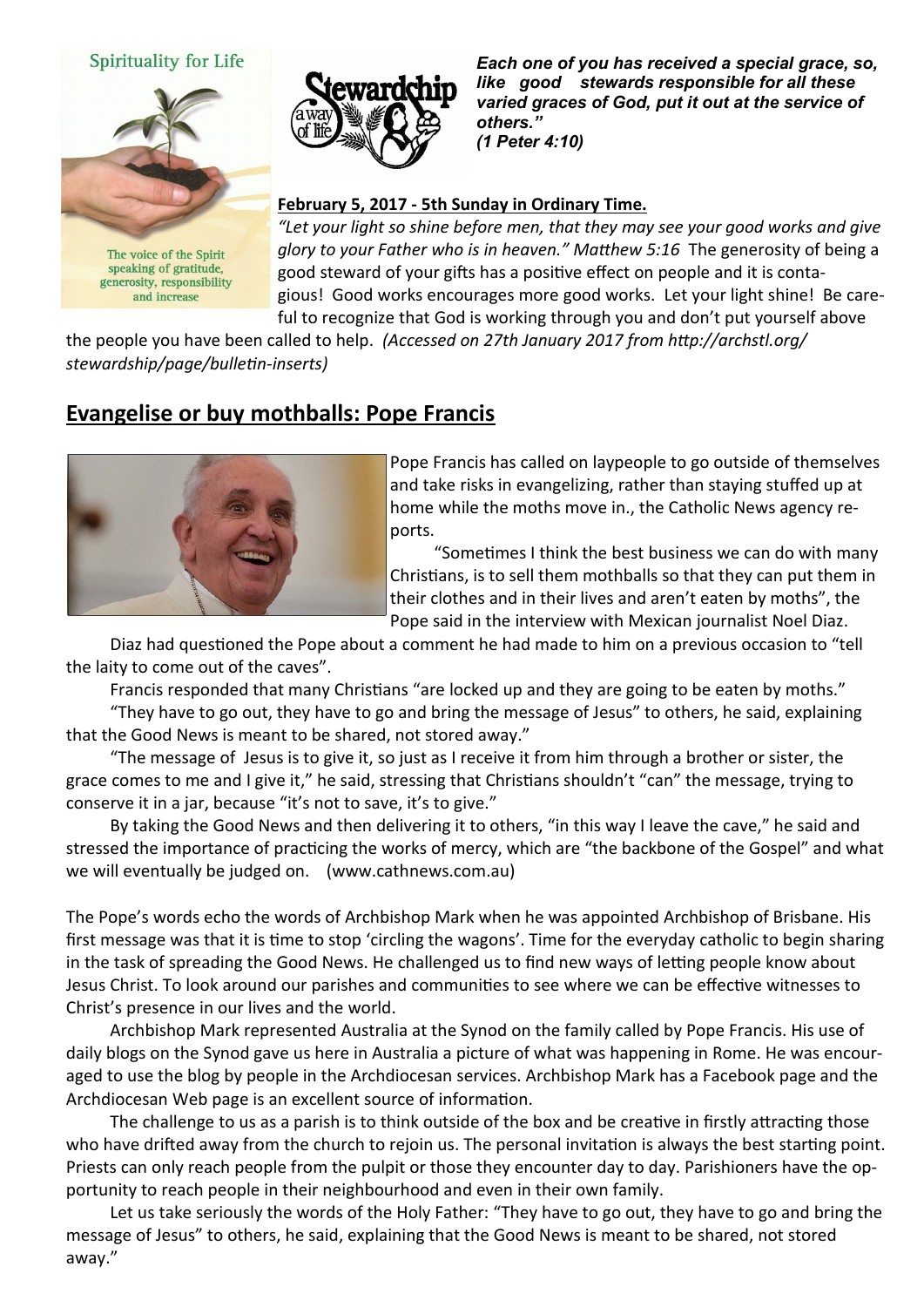#### Spirituality for Life



The voice of the Spirit speaking of gratitude, generosity, responsibility and increase



*Each one of you has received a special grace, so, like good stewards responsible for all these varied graces of God, put it out at the service of others." (1 Peter 4:10)* 

#### **February 5, 2017 - 5th Sunday in Ordinary Time.**

*"Let your light so shine before men, that they may see your good works and give glory to your Father who is in heaven." Matthew 5:16* The generosity of being a good steward of your gifts has a positive effect on people and it is contagious! Good works encourages more good works. Let your light shine! Be careful to recognize that God is working through you and don't put yourself above

the people you have been called to help. *(Accessed on 27th January 2017 from http://archstl.org/ stewardship/page/bulletin-inserts)*

## **Evangelise or buy mothballs: Pope Francis**



Pope Francis has called on laypeople to go outside of themselves and take risks in evangelizing, rather than staying stuffed up at home while the moths move in., the Catholic News agency reports.

"Sometimes I think the best business we can do with many Christians, is to sell them mothballs so that they can put them in their clothes and in their lives and aren't eaten by moths", the Pope said in the interview with Mexican journalist Noel Diaz.

Diaz had questioned the Pope about a comment he had made to him on a previous occasion to "tell the laity to come out of the caves".

Francis responded that many Christians "are locked up and they are going to be eaten by moths."

"They have to go out, they have to go and bring the message of Jesus" to others, he said, explaining that the Good News is meant to be shared, not stored away."

"The message of Jesus is to give it, so just as I receive it from him through a brother or sister, the grace comes to me and I give it," he said, stressing that Christians shouldn't "can" the message, trying to conserve it in a jar, because "it's not to save, it's to give."

By taking the Good News and then delivering it to others, "in this way I leave the cave," he said and stressed the importance of practicing the works of mercy, which are "the backbone of the Gospel" and what we will eventually be judged on. (www.cathnews.com.au)

The Pope's words echo the words of Archbishop Mark when he was appointed Archbishop of Brisbane. His first message was that it is time to stop 'circling the wagons'. Time for the everyday catholic to begin sharing in the task of spreading the Good News. He challenged us to find new ways of letting people know about Jesus Christ. To look around our parishes and communities to see where we can be effective witnesses to Christ's presence in our lives and the world.

Archbishop Mark represented Australia at the Synod on the family called by Pope Francis. His use of daily blogs on the Synod gave us here in Australia a picture of what was happening in Rome. He was encouraged to use the blog by people in the Archdiocesan services. Archbishop Mark has a Facebook page and the Archdiocesan Web page is an excellent source of information.

The challenge to us as a parish is to think outside of the box and be creative in firstly attracting those who have drifted away from the church to rejoin us. The personal invitation is always the best starting point. Priests can only reach people from the pulpit or those they encounter day to day. Parishioners have the opportunity to reach people in their neighbourhood and even in their own family.

Let us take seriously the words of the Holy Father: "They have to go out, they have to go and bring the message of Jesus" to others, he said, explaining that the Good News is meant to be shared, not stored away."